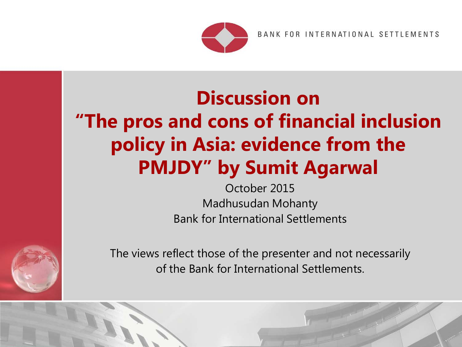

BANK FOR INTERNATIONAL SETTLEMENTS

# **Discussion on "The pros and cons of financial inclusion policy in Asia: evidence from the PMJDY" by Sumit Agarwal**

**Bank for International Settlements** October 2015 Madhusudan Mohanty



The views reflect those of the presenter and not necessarily of the Bank for International Settlements.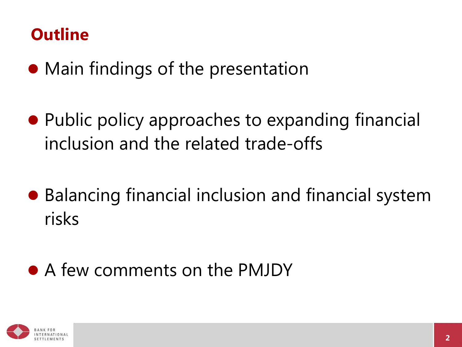## **Outline**

- Main findings of the presentation
- Public policy approaches to expanding financial inclusion and the related trade-offs
- Balancing financial inclusion and financial system risks

## A few comments on the PMJDY

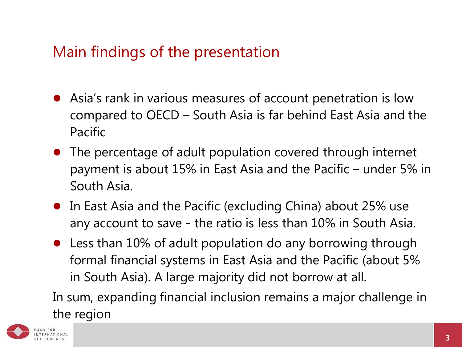#### Main findings of the presentation

- Asia's rank in various measures of account penetration is low compared to OECD – South Asia is far behind East Asia and the Pacific
- The percentage of adult population covered through internet payment is about 15% in East Asia and the Pacific – under 5% in South Asia.
- In East Asia and the Pacific (excluding China) about 25% use any account to save - the ratio is less than 10% in South Asia.
- Less than 10% of adult population do any borrowing through formal financial systems in East Asia and the Pacific (about 5% in South Asia). A large majority did not borrow at all.

In sum, expanding financial inclusion remains a major challenge in the region

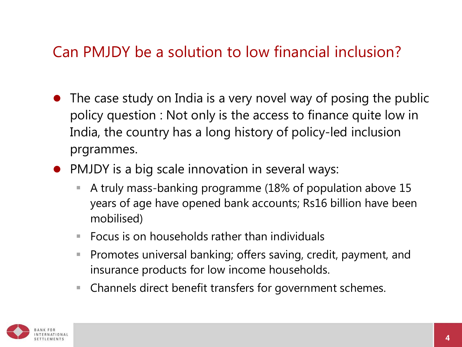#### Can PMJDY be a solution to low financial inclusion?

- The case study on India is a very novel way of posing the public policy question : Not only is the access to finance quite low in India, the country has a long history of policy-led inclusion prgrammes.
- PMJDY is a big scale innovation in several ways:
	- A truly mass-banking programme (18% of population above 15 years of age have opened bank accounts; Rs16 billion have been mobilised)
	- $\blacksquare$  Focus is on households rather than individuals
	- **Promotes universal banking; offers saving, credit, payment, and** insurance products for low income households.
	- Channels direct benefit transfers for government schemes.

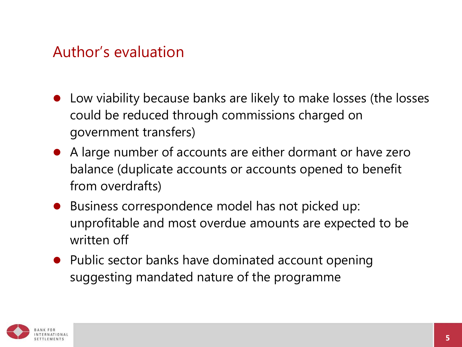#### Author's evaluation

- Low viability because banks are likely to make losses (the losses could be reduced through commissions charged on government transfers)
- A large number of accounts are either dormant or have zero balance (duplicate accounts or accounts opened to benefit from overdrafts)
- Business correspondence model has not picked up: unprofitable and most overdue amounts are expected to be written off
- Public sector banks have dominated account opening suggesting mandated nature of the programme

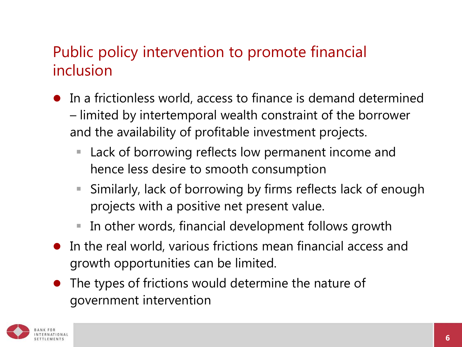#### Public policy intervention to promote financial inclusion

- In a frictionless world, access to finance is demand determined – limited by intertemporal wealth constraint of the borrower and the availability of profitable investment projects.
	- Lack of borrowing reflects low permanent income and hence less desire to smooth consumption
	- Similarly, lack of borrowing by firms reflects lack of enough projects with a positive net present value.
	- In other words, financial development follows growth
- In the real world, various frictions mean financial access and growth opportunities can be limited.
- The types of frictions would determine the nature of government intervention

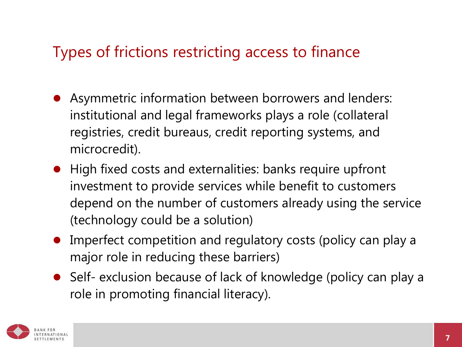#### Types of frictions restricting access to finance

- Asymmetric information between borrowers and lenders: institutional and legal frameworks plays a role (collateral registries, credit bureaus, credit reporting systems, and microcredit).
- High fixed costs and externalities: banks require upfront investment to provide services while benefit to customers depend on the number of customers already using the service (technology could be a solution)
- Imperfect competition and regulatory costs (policy can play a major role in reducing these barriers)
- Self- exclusion because of lack of knowledge (policy can play a role in promoting financial literacy).

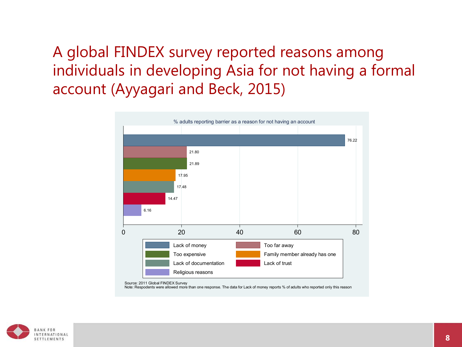## A global FINDEX survey reported reasons among individuals in developing Asia for not having a formal account (Ayyagari and Beck, 2015)



Source: 2011 Global FINDEX Survey

Note: Respodents were allowed more than one response. The data for Lack of money reports % of adults who reported only this reason

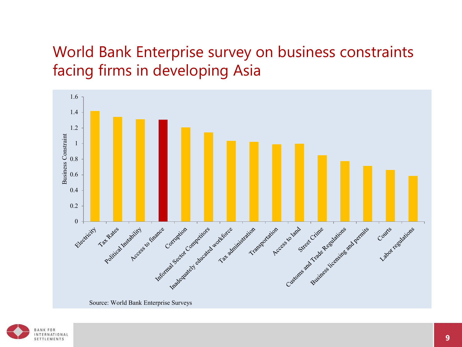## World Bank Enterprise survey on business constraints facing firms in developing Asia



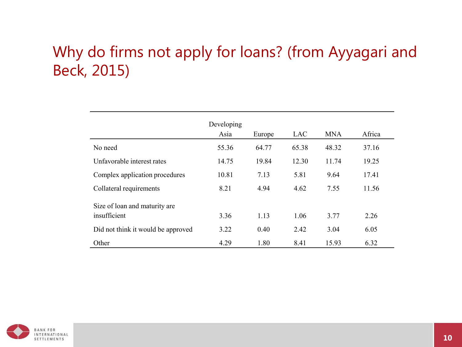#### Why do firms not apply for loans? (from Ayyagari and Beck, 2015)

|                                                | Developing<br>Asia | Europe | LAC   | <b>MNA</b> | Africa |
|------------------------------------------------|--------------------|--------|-------|------------|--------|
| No need                                        | 55.36              | 64.77  | 65.38 | 48.32      | 37.16  |
| Unfavorable interest rates                     | 14.75              | 19.84  | 12.30 | 11.74      | 19.25  |
| Complex application procedures                 | 10.81              | 7.13   | 5.81  | 9.64       | 17.41  |
| Collateral requirements                        | 8.21               | 4.94   | 4.62  | 7.55       | 11.56  |
| Size of loan and maturity are.<br>insufficient | 3.36               | 1.13   | 1.06  | 3.77       | 2.26   |
| Did not think it would be approved             | 3.22               | 0.40   | 2.42  | 3.04       | 6.05   |
| Other                                          | 4.29               | 1.80   | 8.41  | 15.93      | 6.32   |

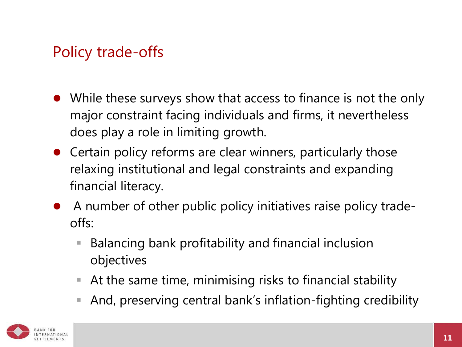## Policy trade-offs

- While these surveys show that access to finance is not the only major constraint facing individuals and firms, it nevertheless does play a role in limiting growth.
- Certain policy reforms are clear winners, particularly those relaxing institutional and legal constraints and expanding financial literacy.
- A number of other public policy initiatives raise policy tradeoffs:
	- Balancing bank profitability and financial inclusion objectives
	- At the same time, minimising risks to financial stability
	- And, preserving central bank's inflation-fighting credibility

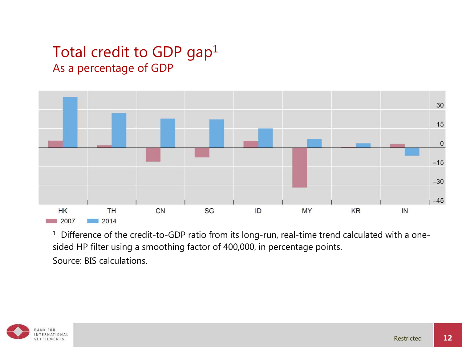#### Total credit to GDP gap<sup>1</sup> As a percentage of GDP



<sup>1</sup> Difference of the credit-to-GDP ratio from its long-run, real-time trend calculated with a onesided HP filter using a smoothing factor of 400,000, in percentage points. Source: BIS calculations.

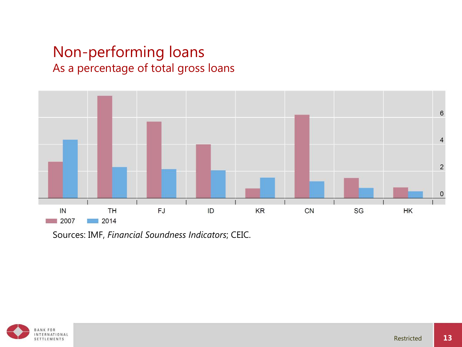#### Non-performing loans As a percentage of total gross loans



Sources: IMF, *Financial Soundness Indicators*; CEIC.

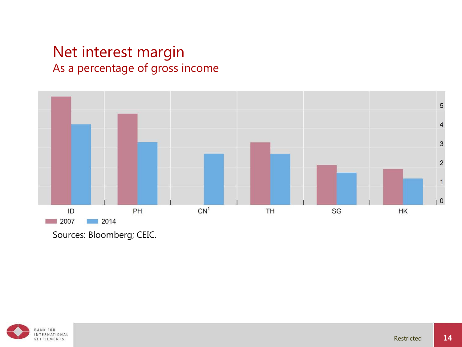#### Net interest margin As a percentage of gross income



Sources: Bloomberg; CEIC.

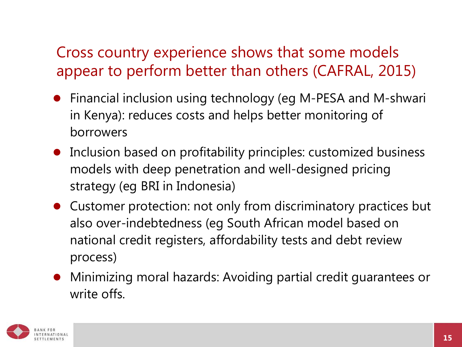## Cross country experience shows that some models appear to perform better than others (CAFRAL, 2015)

- Financial inclusion using technology (eg M-PESA and M-shwari in Kenya): reduces costs and helps better monitoring of borrowers
- Inclusion based on profitability principles: customized business models with deep penetration and well-designed pricing strategy (eg BRI in Indonesia)
- Customer protection: not only from discriminatory practices but also over-indebtedness (eg South African model based on national credit registers, affordability tests and debt review process)
- Minimizing moral hazards: Avoiding partial credit guarantees or write offs.